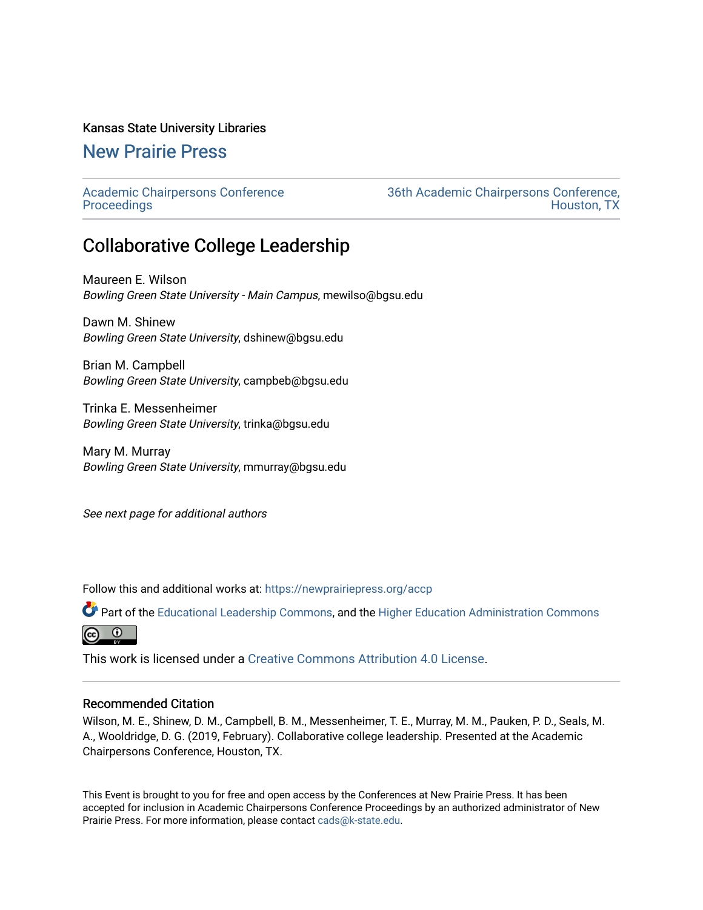#### Kansas State University Libraries

## [New Prairie Press](https://newprairiepress.org/)

[Academic Chairpersons Conference](https://newprairiepress.org/accp)  **Proceedings** 

[36th Academic Chairpersons Conference,](https://newprairiepress.org/accp/2019)  [Houston, TX](https://newprairiepress.org/accp/2019) 

# Collaborative College Leadership

Maureen E. Wilson Bowling Green State University - Main Campus, mewilso@bgsu.edu

Dawn M. Shinew Bowling Green State University, dshinew@bgsu.edu

Brian M. Campbell Bowling Green State University, campbeb@bgsu.edu

Trinka E. Messenheimer Bowling Green State University, trinka@bgsu.edu

Mary M. Murray Bowling Green State University, mmurray@bgsu.edu

See next page for additional authors

Follow this and additional works at: [https://newprairiepress.org/accp](https://newprairiepress.org/accp?utm_source=newprairiepress.org%2Faccp%2F2019%2Fleadership%2F9&utm_medium=PDF&utm_campaign=PDFCoverPages) 

Part of the [Educational Leadership Commons,](http://network.bepress.com/hgg/discipline/1230?utm_source=newprairiepress.org%2Faccp%2F2019%2Fleadership%2F9&utm_medium=PDF&utm_campaign=PDFCoverPages) and the [Higher Education Administration Commons](http://network.bepress.com/hgg/discipline/791?utm_source=newprairiepress.org%2Faccp%2F2019%2Fleadership%2F9&utm_medium=PDF&utm_campaign=PDFCoverPages)  $\odot$  $(c<sub>c</sub>)$ 

This work is licensed under a [Creative Commons Attribution 4.0 License](https://creativecommons.org/licenses/by/4.0/).

#### Recommended Citation

Wilson, M. E., Shinew, D. M., Campbell, B. M., Messenheimer, T. E., Murray, M. M., Pauken, P. D., Seals, M. A., Wooldridge, D. G. (2019, February). Collaborative college leadership. Presented at the Academic Chairpersons Conference, Houston, TX.

This Event is brought to you for free and open access by the Conferences at New Prairie Press. It has been accepted for inclusion in Academic Chairpersons Conference Proceedings by an authorized administrator of New Prairie Press. For more information, please contact [cads@k-state.edu.](mailto:cads@k-state.edu)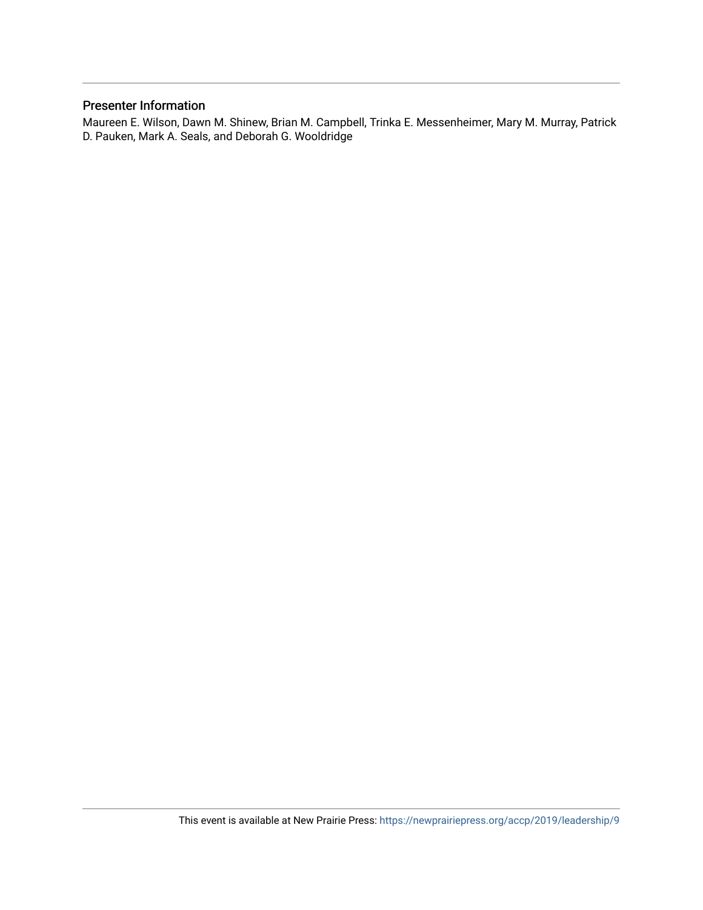#### Presenter Information

Maureen E. Wilson, Dawn M. Shinew, Brian M. Campbell, Trinka E. Messenheimer, Mary M. Murray, Patrick D. Pauken, Mark A. Seals, and Deborah G. Wooldridge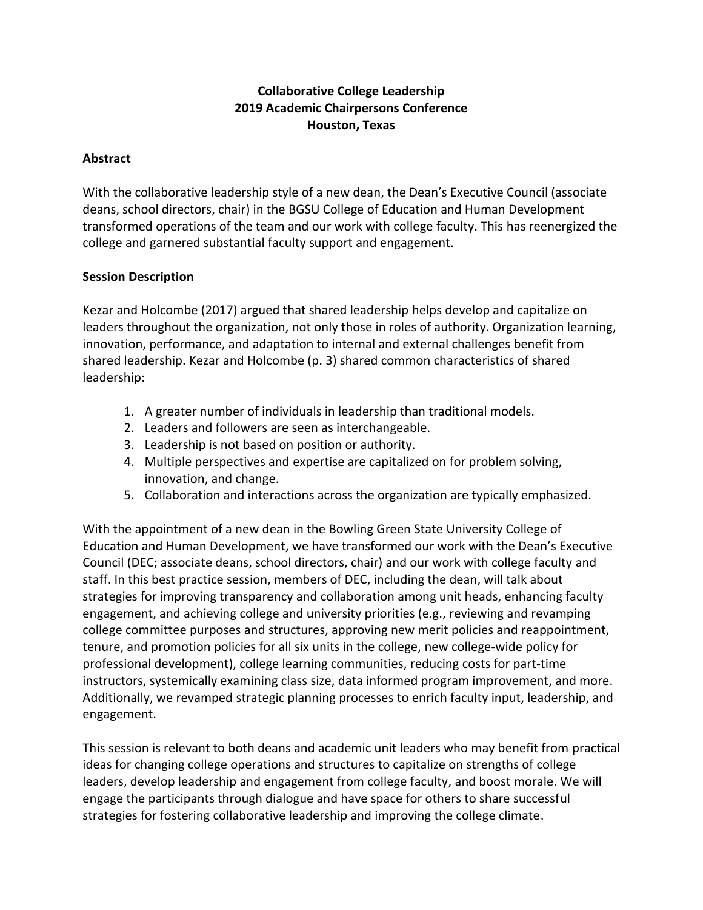## **Collaborative College Leadership 2019 Academic Chairpersons Conference Houston, Texas**

### **Abstract**

With the collaborative leadership style of a new dean, the Dean's Executive Council (associate deans, school directors, chair) in the BGSU College of Education and Human Development transformed operations of the team and our work with college faculty. This has reenergized the college and garnered substantial faculty support and engagement.

### **Session Description**

Kezar and Holcombe (2017) argued that shared leadership helps develop and capitalize on leaders throughout the organization, not only those in roles of authority. Organization learning, innovation, performance, and adaptation to internal and external challenges benefit from shared leadership. Kezar and Holcombe (p. 3) shared common characteristics of shared leadership:

- 1. A greater number of individuals in leadership than traditional models.
- 2. Leaders and followers are seen as interchangeable.
- 3. Leadership is not based on position or authority.
- 4. Multiple perspectives and expertise are capitalized on for problem solving, innovation, and change.
- 5. Collaboration and interactions across the organization are typically emphasized.

With the appointment of a new dean in the Bowling Green State University College of Education and Human Development, we have transformed our work with the Dean's Executive Council (DEC; associate deans, school directors, chair) and our work with college faculty and staff. In this best practice session, members of DEC, including the dean, will talk about strategies for improving transparency and collaboration among unit heads, enhancing faculty engagement, and achieving college and university priorities (e.g., reviewing and revamping college committee purposes and structures, approving new merit policies and reappointment, tenure, and promotion policies for all six units in the college, new college-wide policy for professional development), college learning communities, reducing costs for part-time instructors, systemically examining class size, data informed program improvement, and more. Additionally, we revamped strategic planning processes to enrich faculty input, leadership, and engagement.

This session is relevant to both deans and academic unit leaders who may benefit from practical ideas for changing college operations and structures to capitalize on strengths of college leaders, develop leadership and engagement from college faculty, and boost morale. We will engage the participants through dialogue and have space for others to share successful strategies for fostering collaborative leadership and improving the college climate.